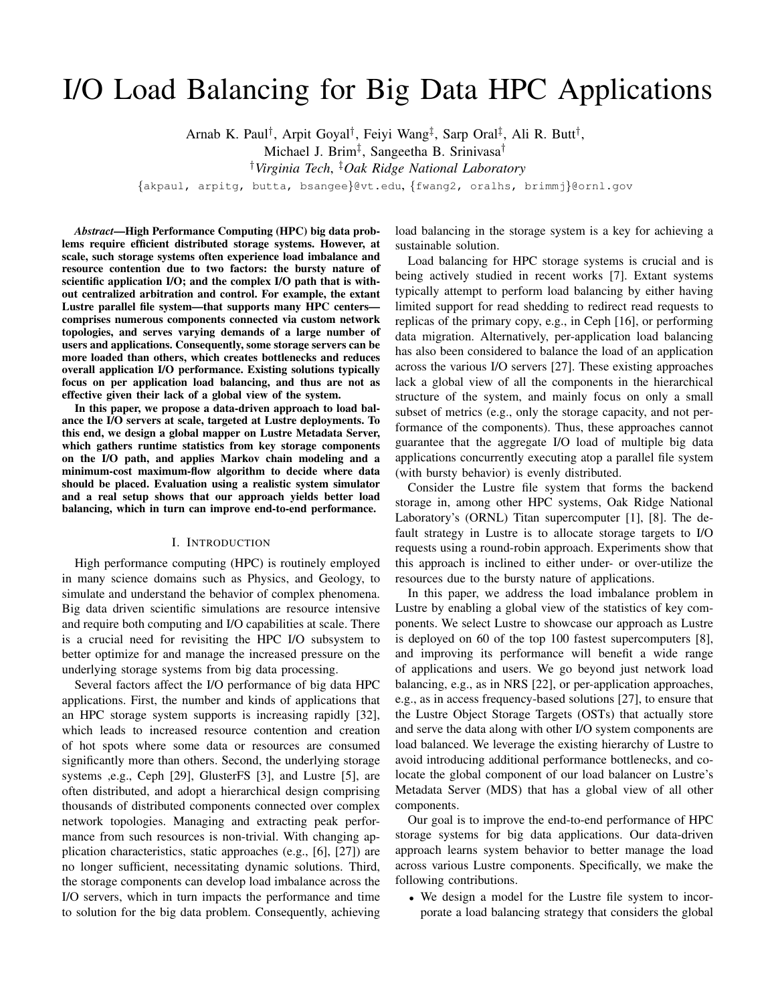# I/O Load Balancing for Big Data HPC Applications

Arnab K. Paul<sup>†</sup>, Arpit Goyal<sup>†</sup>, Feiyi Wang<sup>‡</sup>, Sarp Oral<sup>‡</sup>, Ali R. Butt<sup>†</sup>,

Michael J. Brim‡ , Sangeetha B. Srinivasa†

†*Virginia Tech*, ‡*Oak Ridge National Laboratory*

{akpaul, arpitg, butta, bsangee}@vt.edu, {fwang2, oralhs, brimmj}@ornl.gov

*Abstract*—High Performance Computing (HPC) big data problems require efficient distributed storage systems. However, at scale, such storage systems often experience load imbalance and resource contention due to two factors: the bursty nature of scientific application I/O; and the complex I/O path that is without centralized arbitration and control. For example, the extant Lustre parallel file system—that supports many HPC centers comprises numerous components connected via custom network topologies, and serves varying demands of a large number of users and applications. Consequently, some storage servers can be more loaded than others, which creates bottlenecks and reduces overall application I/O performance. Existing solutions typically focus on per application load balancing, and thus are not as effective given their lack of a global view of the system.

In this paper, we propose a data-driven approach to load balance the I/O servers at scale, targeted at Lustre deployments. To this end, we design a global mapper on Lustre Metadata Server, which gathers runtime statistics from key storage components on the I/O path, and applies Markov chain modeling and a minimum-cost maximum-flow algorithm to decide where data should be placed. Evaluation using a realistic system simulator and a real setup shows that our approach yields better load balancing, which in turn can improve end-to-end performance.

## I. INTRODUCTION

High performance computing (HPC) is routinely employed in many science domains such as Physics, and Geology, to simulate and understand the behavior of complex phenomena. Big data driven scientific simulations are resource intensive and require both computing and I/O capabilities at scale. There is a crucial need for revisiting the HPC I/O subsystem to better optimize for and manage the increased pressure on the underlying storage systems from big data processing.

Several factors affect the I/O performance of big data HPC applications. First, the number and kinds of applications that an HPC storage system supports is increasing rapidly [32], which leads to increased resource contention and creation of hot spots where some data or resources are consumed significantly more than others. Second, the underlying storage systems ,e.g., Ceph [29], GlusterFS [3], and Lustre [5], are often distributed, and adopt a hierarchical design comprising thousands of distributed components connected over complex network topologies. Managing and extracting peak performance from such resources is non-trivial. With changing application characteristics, static approaches (e.g., [6], [27]) are no longer sufficient, necessitating dynamic solutions. Third, the storage components can develop load imbalance across the I/O servers, which in turn impacts the performance and time to solution for the big data problem. Consequently, achieving

load balancing in the storage system is a key for achieving a sustainable solution.

Load balancing for HPC storage systems is crucial and is being actively studied in recent works [7]. Extant systems typically attempt to perform load balancing by either having limited support for read shedding to redirect read requests to replicas of the primary copy, e.g., in Ceph [16], or performing data migration. Alternatively, per-application load balancing has also been considered to balance the load of an application across the various I/O servers [27]. These existing approaches lack a global view of all the components in the hierarchical structure of the system, and mainly focus on only a small subset of metrics (e.g., only the storage capacity, and not performance of the components). Thus, these approaches cannot guarantee that the aggregate I/O load of multiple big data applications concurrently executing atop a parallel file system (with bursty behavior) is evenly distributed.

Consider the Lustre file system that forms the backend storage in, among other HPC systems, Oak Ridge National Laboratory's (ORNL) Titan supercomputer [1], [8]. The default strategy in Lustre is to allocate storage targets to I/O requests using a round-robin approach. Experiments show that this approach is inclined to either under- or over-utilize the resources due to the bursty nature of applications.

In this paper, we address the load imbalance problem in Lustre by enabling a global view of the statistics of key components. We select Lustre to showcase our approach as Lustre is deployed on 60 of the top 100 fastest supercomputers [8], and improving its performance will benefit a wide range of applications and users. We go beyond just network load balancing, e.g., as in NRS [22], or per-application approaches, e.g., as in access frequency-based solutions [27], to ensure that the Lustre Object Storage Targets (OSTs) that actually store and serve the data along with other I/O system components are load balanced. We leverage the existing hierarchy of Lustre to avoid introducing additional performance bottlenecks, and colocate the global component of our load balancer on Lustre's Metadata Server (MDS) that has a global view of all other components.

Our goal is to improve the end-to-end performance of HPC storage systems for big data applications. Our data-driven approach learns system behavior to better manage the load across various Lustre components. Specifically, we make the following contributions.

• We design a model for the Lustre file system to incorporate a load balancing strategy that considers the global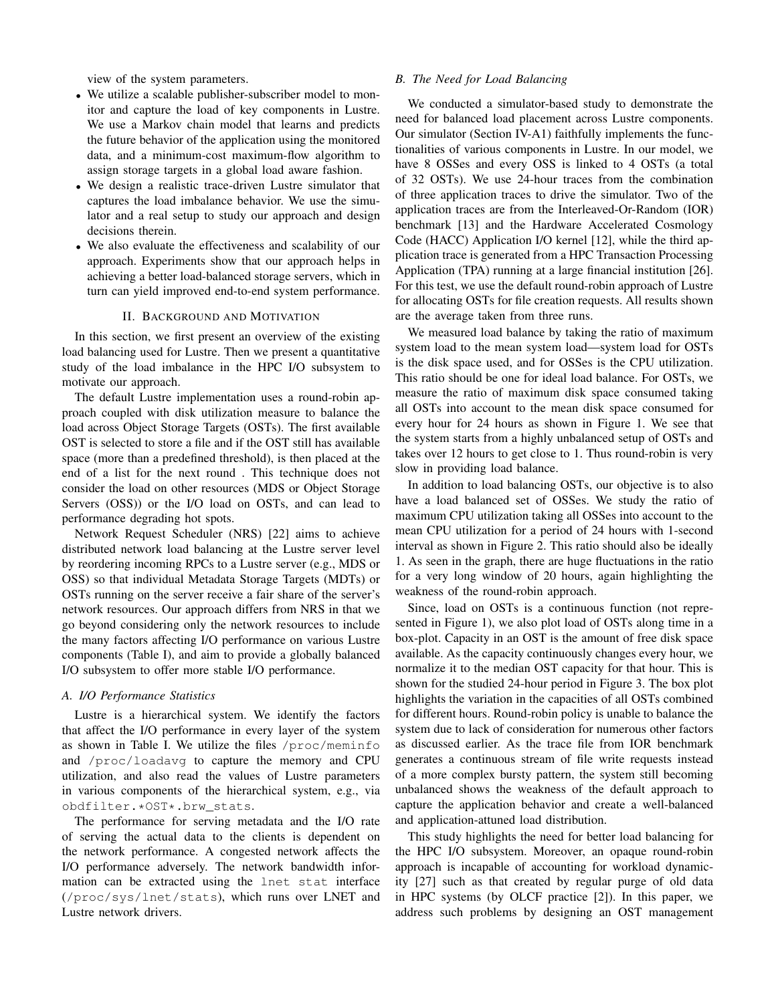view of the system parameters.

- We utilize a scalable publisher-subscriber model to monitor and capture the load of key components in Lustre. We use a Markov chain model that learns and predicts the future behavior of the application using the monitored data, and a minimum-cost maximum-flow algorithm to assign storage targets in a global load aware fashion.
- We design a realistic trace-driven Lustre simulator that captures the load imbalance behavior. We use the simulator and a real setup to study our approach and design decisions therein.
- We also evaluate the effectiveness and scalability of our approach. Experiments show that our approach helps in achieving a better load-balanced storage servers, which in turn can yield improved end-to-end system performance.

### II. BACKGROUND AND MOTIVATION

In this section, we first present an overview of the existing load balancing used for Lustre. Then we present a quantitative study of the load imbalance in the HPC I/O subsystem to motivate our approach.

The default Lustre implementation uses a round-robin approach coupled with disk utilization measure to balance the load across Object Storage Targets (OSTs). The first available OST is selected to store a file and if the OST still has available space (more than a predefined threshold), is then placed at the end of a list for the next round . This technique does not consider the load on other resources (MDS or Object Storage Servers (OSS)) or the I/O load on OSTs, and can lead to performance degrading hot spots.

Network Request Scheduler (NRS) [22] aims to achieve distributed network load balancing at the Lustre server level by reordering incoming RPCs to a Lustre server (e.g., MDS or OSS) so that individual Metadata Storage Targets (MDTs) or OSTs running on the server receive a fair share of the server's network resources. Our approach differs from NRS in that we go beyond considering only the network resources to include the many factors affecting I/O performance on various Lustre components (Table I), and aim to provide a globally balanced I/O subsystem to offer more stable I/O performance.

## *A. I/O Performance Statistics*

Lustre is a hierarchical system. We identify the factors that affect the I/O performance in every layer of the system as shown in Table I. We utilize the files /proc/meminfo and /proc/loadavg to capture the memory and CPU utilization, and also read the values of Lustre parameters in various components of the hierarchical system, e.g., via obdfilter.\*OST\*.brw\_stats.

The performance for serving metadata and the I/O rate of serving the actual data to the clients is dependent on the network performance. A congested network affects the I/O performance adversely. The network bandwidth information can be extracted using the lnet stat interface (/proc/sys/lnet/stats), which runs over LNET and Lustre network drivers.

### *B. The Need for Load Balancing*

We conducted a simulator-based study to demonstrate the need for balanced load placement across Lustre components. Our simulator (Section IV-A1) faithfully implements the functionalities of various components in Lustre. In our model, we have 8 OSSes and every OSS is linked to 4 OSTs (a total of 32 OSTs). We use 24-hour traces from the combination of three application traces to drive the simulator. Two of the application traces are from the Interleaved-Or-Random (IOR) benchmark [13] and the Hardware Accelerated Cosmology Code (HACC) Application I/O kernel [12], while the third application trace is generated from a HPC Transaction Processing Application (TPA) running at a large financial institution [26]. For this test, we use the default round-robin approach of Lustre for allocating OSTs for file creation requests. All results shown are the average taken from three runs.

We measured load balance by taking the ratio of maximum system load to the mean system load—system load for OSTs is the disk space used, and for OSSes is the CPU utilization. This ratio should be one for ideal load balance. For OSTs, we measure the ratio of maximum disk space consumed taking all OSTs into account to the mean disk space consumed for every hour for 24 hours as shown in Figure 1. We see that the system starts from a highly unbalanced setup of OSTs and takes over 12 hours to get close to 1. Thus round-robin is very slow in providing load balance.

In addition to load balancing OSTs, our objective is to also have a load balanced set of OSSes. We study the ratio of maximum CPU utilization taking all OSSes into account to the mean CPU utilization for a period of 24 hours with 1-second interval as shown in Figure 2. This ratio should also be ideally 1. As seen in the graph, there are huge fluctuations in the ratio for a very long window of 20 hours, again highlighting the weakness of the round-robin approach.

Since, load on OSTs is a continuous function (not represented in Figure 1), we also plot load of OSTs along time in a box-plot. Capacity in an OST is the amount of free disk space available. As the capacity continuously changes every hour, we normalize it to the median OST capacity for that hour. This is shown for the studied 24-hour period in Figure 3. The box plot highlights the variation in the capacities of all OSTs combined for different hours. Round-robin policy is unable to balance the system due to lack of consideration for numerous other factors as discussed earlier. As the trace file from IOR benchmark generates a continuous stream of file write requests instead of a more complex bursty pattern, the system still becoming unbalanced shows the weakness of the default approach to capture the application behavior and create a well-balanced and application-attuned load distribution.

This study highlights the need for better load balancing for the HPC I/O subsystem. Moreover, an opaque round-robin approach is incapable of accounting for workload dynamicity [27] such as that created by regular purge of old data in HPC systems (by OLCF practice [2]). In this paper, we address such problems by designing an OST management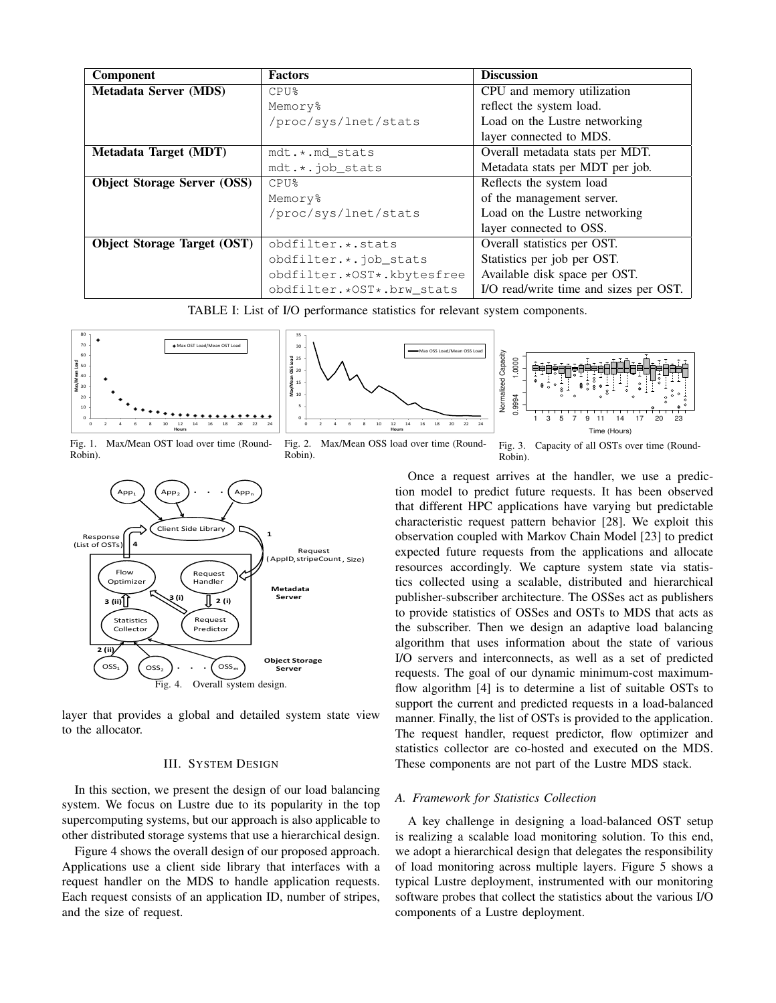| Component                          | <b>Factors</b>             | <b>Discussion</b>                      |  |  |  |
|------------------------------------|----------------------------|----------------------------------------|--|--|--|
| <b>Metadata Server (MDS)</b>       | CPU <sup>8</sup>           | CPU and memory utilization             |  |  |  |
|                                    | Memory%                    | reflect the system load.               |  |  |  |
|                                    | /proc/sys/lnet/stats       | Load on the Lustre networking          |  |  |  |
|                                    |                            | layer connected to MDS.                |  |  |  |
| Metadata Target (MDT)              | mdt.*.md stats             | Overall metadata stats per MDT.        |  |  |  |
|                                    | mdt.*.job stats            | Metadata stats per MDT per job.        |  |  |  |
| <b>Object Storage Server (OSS)</b> | <b>CPU%</b>                | Reflects the system load               |  |  |  |
|                                    | Memory%                    | of the management server.              |  |  |  |
|                                    | /proc/sys/lnet/stats       | Load on the Lustre networking          |  |  |  |
|                                    |                            | layer connected to OSS.                |  |  |  |
| <b>Object Storage Target (OST)</b> | obdfilter.*.stats          | Overall statistics per OST.            |  |  |  |
|                                    | obdfilter.*.job_stats      | Statistics per job per OST.            |  |  |  |
|                                    | obdfilter.*OST*.kbytesfree | Available disk space per OST.          |  |  |  |
|                                    | obdfilter.*OST*.brw stats  | I/O read/write time and sizes per OST. |  |  |  |

TABLE I: List of I/O performance statistics for relevant system components.





Robin).





layer that provides a global and detailed system state view to the allocator.

## III. SYSTEM DESIGN

In this section, we present the design of our load balancing system. We focus on Lustre due to its popularity in the top supercomputing systems, but our approach is also applicable to other distributed storage systems that use a hierarchical design.

Figure 4 shows the overall design of our proposed approach. Applications use a client side library that interfaces with a request handler on the MDS to handle application requests. Each request consists of an application ID, number of stripes, and the size of request.

Fig. 2. Max/Mean OSS load over time (Round-Robin).

 $0000.$ 

Normalized Capacity Normalized Capacity 0.9994 1.0000 0.9994 1 3 5 7 9 11 14 17 20 23 Time (Hours) Fig. 3. Capacity of all OSTs over time (Round-

Once a request arrives at the handler, we use a prediction model to predict future requests. It has been observed that different HPC applications have varying but predictable characteristic request pattern behavior [28]. We exploit this observation coupled with Markov Chain Model [23] to predict expected future requests from the applications and allocate resources accordingly. We capture system state via statistics collected using a scalable, distributed and hierarchical publisher-subscriber architecture. The OSSes act as publishers to provide statistics of OSSes and OSTs to MDS that acts as the subscriber. Then we design an adaptive load balancing algorithm that uses information about the state of various I/O servers and interconnects, as well as a set of predicted requests. The goal of our dynamic minimum-cost maximumflow algorithm [4] is to determine a list of suitable OSTs to support the current and predicted requests in a load-balanced manner. Finally, the list of OSTs is provided to the application. The request handler, request predictor, flow optimizer and statistics collector are co-hosted and executed on the MDS. These components are not part of the Lustre MDS stack.

### *A. Framework for Statistics Collection*

A key challenge in designing a load-balanced OST setup is realizing a scalable load monitoring solution. To this end, we adopt a hierarchical design that delegates the responsibility of load monitoring across multiple layers. Figure 5 shows a typical Lustre deployment, instrumented with our monitoring software probes that collect the statistics about the various I/O components of a Lustre deployment.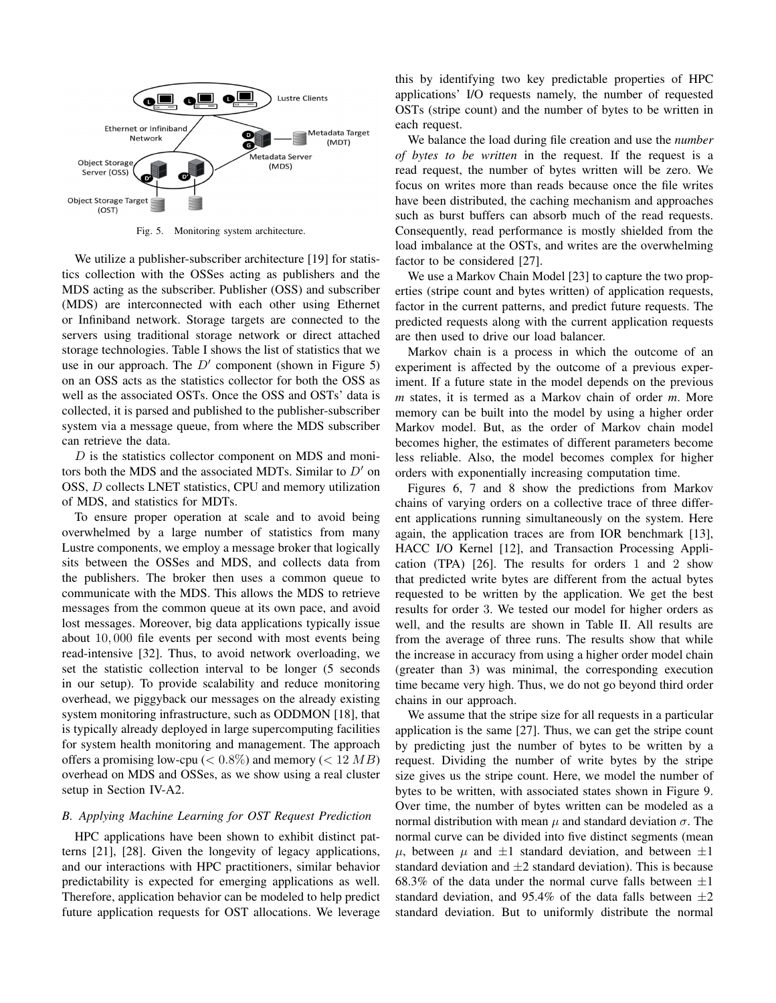

Fig. 5. Monitoring system architecture.

We utilize a publisher-subscriber architecture [19] for statistics collection with the OSSes acting as publishers and the MDS acting as the subscriber. Publisher (OSS) and subscriber (MDS) are interconnected with each other using Ethernet or Infiniband network. Storage targets are connected to the servers using traditional storage network or direct attached storage technologies. Table I shows the list of statistics that we use in our approach. The  $D'$  component (shown in Figure 5) on an OSS acts as the statistics collector for both the OSS as well as the associated OSTs. Once the OSS and OSTs' data is collected, it is parsed and published to the publisher-subscriber system via a message queue, from where the MDS subscriber can retrieve the data.

 $D$  is the statistics collector component on MDS and monitors both the MDS and the associated MDTs. Similar to  $D'$  on OSS, D collects LNET statistics, CPU and memory utilization of MDS, and statistics for MDTs.

To ensure proper operation at scale and to avoid being overwhelmed by a large number of statistics from many Lustre components, we employ a message broker that logically sits between the OSSes and MDS, and collects data from the publishers. The broker then uses a common queue to communicate with the MDS. This allows the MDS to retrieve messages from the common queue at its own pace, and avoid lost messages. Moreover, big data applications typically issue about 10, 000 file events per second with most events being read-intensive [32]. Thus, to avoid network overloading, we set the statistic collection interval to be longer (5 seconds in our setup). To provide scalability and reduce monitoring overhead, we piggyback our messages on the already existing system monitoring infrastructure, such as ODDMON [18], that is typically already deployed in large supercomputing facilities for system health monitoring and management. The approach offers a promising low-cpu ( $< 0.8\%$ ) and memory ( $< 12 \text{ MB}$ ) overhead on MDS and OSSes, as we show using a real cluster setup in Section IV-A2.

## *B. Applying Machine Learning for OST Request Prediction*

HPC applications have been shown to exhibit distinct patterns [21], [28]. Given the longevity of legacy applications, and our interactions with HPC practitioners, similar behavior predictability is expected for emerging applications as well. Therefore, application behavior can be modeled to help predict future application requests for OST allocations. We leverage this by identifying two key predictable properties of HPC applications' I/O requests namely, the number of requested OSTs (stripe count) and the number of bytes to be written in each request.

We balance the load during file creation and use the *number of bytes to be written* in the request. If the request is a read request, the number of bytes written will be zero. We focus on writes more than reads because once the file writes have been distributed, the caching mechanism and approaches such as burst buffers can absorb much of the read requests. Consequently, read performance is mostly shielded from the load imbalance at the OSTs, and writes are the overwhelming factor to be considered [27].

We use a Markov Chain Model [23] to capture the two properties (stripe count and bytes written) of application requests, factor in the current patterns, and predict future requests. The predicted requests along with the current application requests are then used to drive our load balancer.

Markov chain is a process in which the outcome of an experiment is affected by the outcome of a previous experiment. If a future state in the model depends on the previous *m* states, it is termed as a Markov chain of order *m*. More memory can be built into the model by using a higher order Markov model. But, as the order of Markov chain model becomes higher, the estimates of different parameters become less reliable. Also, the model becomes complex for higher orders with exponentially increasing computation time.

Figures 6, 7 and 8 show the predictions from Markov chains of varying orders on a collective trace of three different applications running simultaneously on the system. Here again, the application traces are from IOR benchmark [13], HACC I/O Kernel [12], and Transaction Processing Application (TPA) [26]. The results for orders 1 and 2 show that predicted write bytes are different from the actual bytes requested to be written by the application. We get the best results for order 3. We tested our model for higher orders as well, and the results are shown in Table II. All results are from the average of three runs. The results show that while the increase in accuracy from using a higher order model chain (greater than 3) was minimal, the corresponding execution time became very high. Thus, we do not go beyond third order chains in our approach.

We assume that the stripe size for all requests in a particular application is the same [27]. Thus, we can get the stripe count by predicting just the number of bytes to be written by a request. Dividing the number of write bytes by the stripe size gives us the stripe count. Here, we model the number of bytes to be written, with associated states shown in Figure 9. Over time, the number of bytes written can be modeled as a normal distribution with mean  $\mu$  and standard deviation  $\sigma$ . The normal curve can be divided into five distinct segments (mean  $\mu$ , between  $\mu$  and  $\pm 1$  standard deviation, and between  $\pm 1$ standard deviation and  $\pm 2$  standard deviation). This is because 68.3% of the data under the normal curve falls between  $\pm 1$ standard deviation, and 95.4% of the data falls between  $\pm 2$ standard deviation. But to uniformly distribute the normal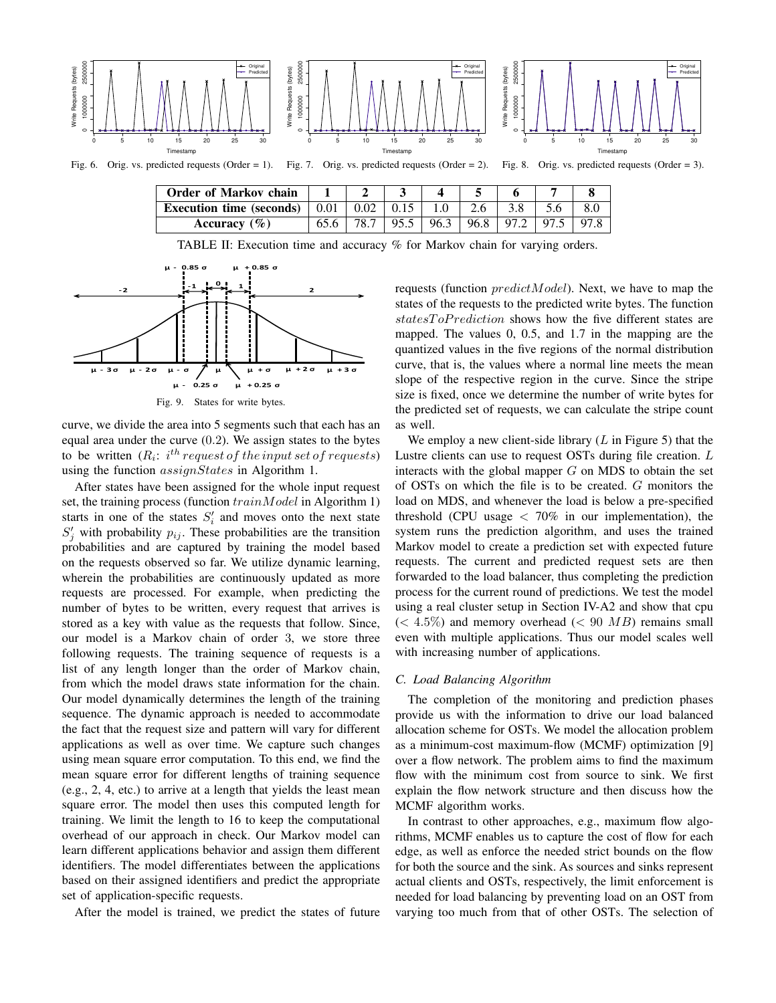

| <b>Order of Markov chain</b>                                  |      |      |      |      |         |  |
|---------------------------------------------------------------|------|------|------|------|---------|--|
| <b>Execution time (seconds)</b> $\vert 0.01 \vert 0.02 \vert$ |      | 0.15 |      |      |         |  |
| Accuracy $(\% )$                                              | 78.7 | 95.5 | 96.3 | 96.8 | $+97.2$ |  |

TABLE II: Execution time and accuracy % for Markov chain for varying orders.



curve, we divide the area into 5 segments such that each has an equal area under the curve  $(0.2)$ . We assign states to the bytes to be written  $(R_i: i^{th}$  request of the input set of requests) using the function  $assignStates$  in Algorithm 1.

After states have been assigned for the whole input request set, the training process (function  $trainModel$  in Algorithm 1) starts in one of the states  $S_i'$  and moves onto the next state  $S'_{j}$  with probability  $p_{ij}$ . These probabilities are the transition probabilities and are captured by training the model based on the requests observed so far. We utilize dynamic learning, wherein the probabilities are continuously updated as more requests are processed. For example, when predicting the number of bytes to be written, every request that arrives is stored as a key with value as the requests that follow. Since, our model is a Markov chain of order 3, we store three following requests. The training sequence of requests is a list of any length longer than the order of Markov chain, from which the model draws state information for the chain. Our model dynamically determines the length of the training sequence. The dynamic approach is needed to accommodate the fact that the request size and pattern will vary for different applications as well as over time. We capture such changes using mean square error computation. To this end, we find the mean square error for different lengths of training sequence (e.g., 2, 4, etc.) to arrive at a length that yields the least mean square error. The model then uses this computed length for training. We limit the length to 16 to keep the computational overhead of our approach in check. Our Markov model can learn different applications behavior and assign them different identifiers. The model differentiates between the applications based on their assigned identifiers and predict the appropriate set of application-specific requests.

After the model is trained, we predict the states of future

requests (function  $predictModel$ ). Next, we have to map the states of the requests to the predicted write bytes. The function statesToPrediction shows how the five different states are mapped. The values 0, 0.5, and 1.7 in the mapping are the quantized values in the five regions of the normal distribution curve, that is, the values where a normal line meets the mean slope of the respective region in the curve. Since the stripe size is fixed, once we determine the number of write bytes for the predicted set of requests, we can calculate the stripe count as well.

We employ a new client-side library  $(L$  in Figure 5) that the Lustre clients can use to request OSTs during file creation. L interacts with the global mapper  $G$  on MDS to obtain the set of OSTs on which the file is to be created. G monitors the load on MDS, and whenever the load is below a pre-specified threshold (CPU usage  $< 70\%$  in our implementation), the system runs the prediction algorithm, and uses the trained Markov model to create a prediction set with expected future requests. The current and predicted request sets are then forwarded to the load balancer, thus completing the prediction process for the current round of predictions. We test the model using a real cluster setup in Section IV-A2 and show that cpu  $(< 4.5\%)$  and memory overhead  $(< 90 \text{ MB})$  remains small even with multiple applications. Thus our model scales well with increasing number of applications.

## *C. Load Balancing Algorithm*

The completion of the monitoring and prediction phases provide us with the information to drive our load balanced allocation scheme for OSTs. We model the allocation problem as a minimum-cost maximum-flow (MCMF) optimization [9] over a flow network. The problem aims to find the maximum flow with the minimum cost from source to sink. We first explain the flow network structure and then discuss how the MCMF algorithm works.

In contrast to other approaches, e.g., maximum flow algorithms, MCMF enables us to capture the cost of flow for each edge, as well as enforce the needed strict bounds on the flow for both the source and the sink. As sources and sinks represent actual clients and OSTs, respectively, the limit enforcement is needed for load balancing by preventing load on an OST from varying too much from that of other OSTs. The selection of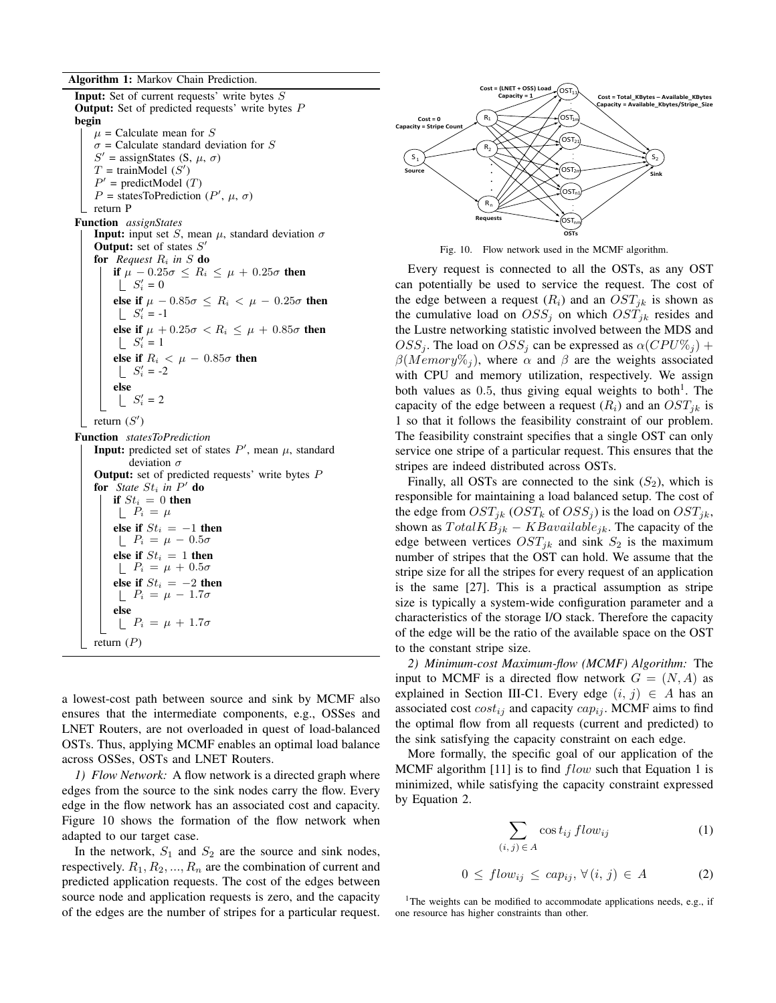Algorithm 1: Markov Chain Prediction.

Input: Set of current requests' write bytes S **Output:** Set of predicted requests' write bytes P begin  $\mu$  = Calculate mean for S  $\sigma$  = Calculate standard deviation for S  $S'$  = assignStates (S,  $\mu$ ,  $\sigma$ )  $T = \text{trainModel}(S')$  $P'$  = predictModel  $(T)$ P = statesToPrediction (P', μ, σ) return P Function *assignStates* **Input:** input set S, mean  $\mu$ , standard deviation  $\sigma$ Output: set of states  $S'$ for *Request* R<sup>i</sup> *in* S do if  $\mu - 0.25\sigma \leq R_i \leq \mu + 0.25\sigma$  then  $S_i' = 0$ else if  $\mu - 0.85\sigma \leq R_i < \mu - 0.25\sigma$  then  $S_i' = -1$ else if  $\mu + 0.25\sigma < R_i \leq \mu + 0.85\sigma$  then  $S_i' = 1$ else if  $R_i < \mu - 0.85\sigma$  then  $S_i' = -2$ else  $S_i' = 2$ L. return  $(S')$ Function *statesToPrediction* **Input:** predicted set of states  $P'$ , mean  $\mu$ , standard deviation  $\sigma$ **Output:** set of predicted requests' write bytes  $P$ for *State*  $St_i$  *in*  $P'$  do if  $St_i = 0$  then  $\lfloor P_i = \mu \rfloor$ else if  $St_i = -1$  then  $\lfloor P_i = \mu - 0.5\sigma \rfloor$ else if  $St_i = 1$  then  $\mid P_i = \mu + 0.5\sigma$ else if  $St_i = -2$  then |  $P_i = \mu - 1.7\sigma$ else  $P_i = \mu + 1.7\sigma$ L return  $(P)$ 

a lowest-cost path between source and sink by MCMF also ensures that the intermediate components, e.g., OSSes and LNET Routers, are not overloaded in quest of load-balanced OSTs. Thus, applying MCMF enables an optimal load balance across OSSes, OSTs and LNET Routers.

*1) Flow Network:* A flow network is a directed graph where edges from the source to the sink nodes carry the flow. Every edge in the flow network has an associated cost and capacity. Figure 10 shows the formation of the flow network when adapted to our target case.

In the network,  $S_1$  and  $S_2$  are the source and sink nodes, respectively.  $R_1, R_2, ..., R_n$  are the combination of current and predicted application requests. The cost of the edges between source node and application requests is zero, and the capacity of the edges are the number of stripes for a particular request.



Fig. 10. Flow network used in the MCMF algorithm.

Every request is connected to all the OSTs, as any OST can potentially be used to service the request. The cost of the edge between a request  $(R_i)$  and an  $OST_{ik}$  is shown as the cumulative load on  $OSS_j$  on which  $OST_{jk}$  resides and the Lustre networking statistic involved between the MDS and  $OSS_j$ . The load on  $OSS_j$  can be expressed as  $\alpha(CPU\%_j)$  +  $\beta(Memory\%)$ , where  $\alpha$  and  $\beta$  are the weights associated with CPU and memory utilization, respectively. We assign both values as  $0.5$ , thus giving equal weights to both<sup>1</sup>. The capacity of the edge between a request  $(R_i)$  and an  $OST_{ik}$  is 1 so that it follows the feasibility constraint of our problem. The feasibility constraint specifies that a single OST can only service one stripe of a particular request. This ensures that the stripes are indeed distributed across OSTs.

Finally, all OSTs are connected to the sink  $(S_2)$ , which is responsible for maintaining a load balanced setup. The cost of the edge from  $OST_{jk}$  ( $OST_k$  of  $OSS_j$ ) is the load on  $OST_{jk}$ , shown as  $TotalKB_{jk} - KB available_{jk}$ . The capacity of the edge between vertices  $OST_{jk}$  and sink  $S_2$  is the maximum number of stripes that the OST can hold. We assume that the stripe size for all the stripes for every request of an application is the same [27]. This is a practical assumption as stripe size is typically a system-wide configuration parameter and a characteristics of the storage I/O stack. Therefore the capacity of the edge will be the ratio of the available space on the OST to the constant stripe size.

*2) Minimum-cost Maximum-flow (MCMF) Algorithm:* The input to MCMF is a directed flow network  $G = (N, A)$  as explained in Section III-C1. Every edge  $(i, j) \in A$  has an associated cost  $cost_{ij}$  and capacity  $cap_{ij}$ . MCMF aims to find the optimal flow from all requests (current and predicted) to the sink satisfying the capacity constraint on each edge.

More formally, the specific goal of our application of the MCMF algorithm [11] is to find  $flow$  such that Equation 1 is minimized, while satisfying the capacity constraint expressed by Equation 2.

$$
\sum_{(i,j)\in A} \cos t_{ij} flow_{ij}
$$
 (1)

$$
0 \leq flow_{ij} \leq cap_{ij}, \forall (i, j) \in A \tag{2}
$$

<sup>1</sup>The weights can be modified to accommodate applications needs, e.g., if one resource has higher constraints than other.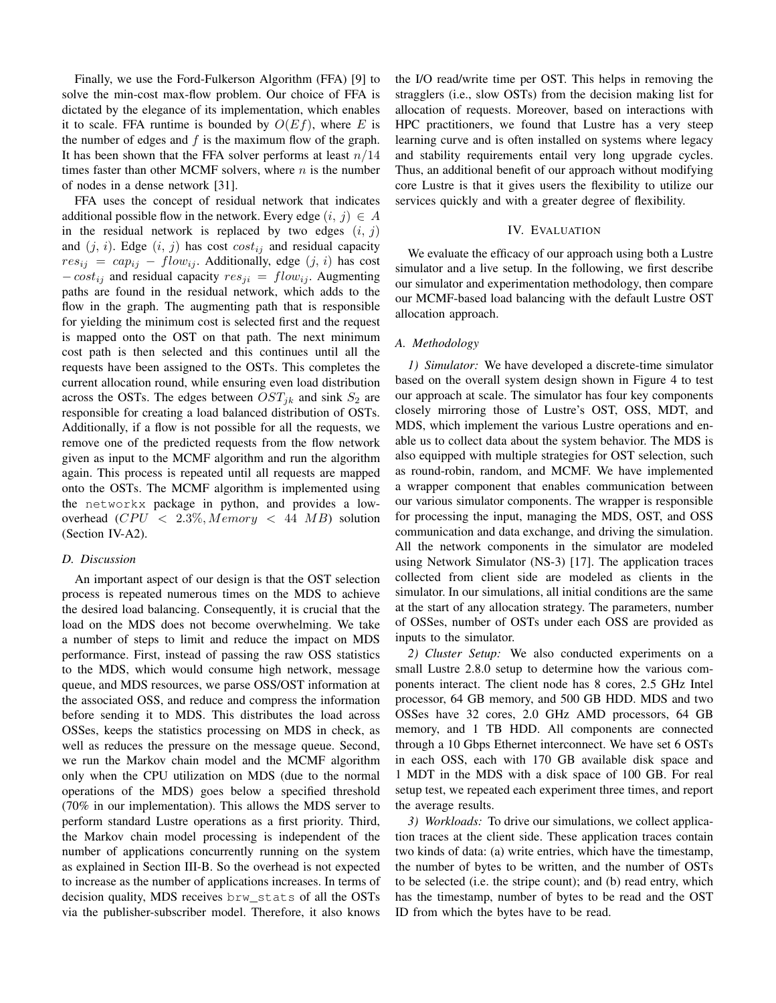Finally, we use the Ford-Fulkerson Algorithm (FFA) [9] to solve the min-cost max-flow problem. Our choice of FFA is dictated by the elegance of its implementation, which enables it to scale. FFA runtime is bounded by  $O(Ef)$ , where E is the number of edges and  $f$  is the maximum flow of the graph. It has been shown that the FFA solver performs at least  $n/14$ times faster than other MCMF solvers, where  $n$  is the number of nodes in a dense network [31].

FFA uses the concept of residual network that indicates additional possible flow in the network. Every edge  $(i, j) \in A$ in the residual network is replaced by two edges  $(i, j)$ and  $(j, i)$ . Edge  $(i, j)$  has cost  $cost_{ij}$  and residual capacity  $res_{ij} = cap_{ij} - flow_{ij}$ . Additionally, edge  $(j, i)$  has cost  $-cost_{ij}$  and residual capacity  $res_{ji} = flow_{ij}$ . Augmenting paths are found in the residual network, which adds to the flow in the graph. The augmenting path that is responsible for yielding the minimum cost is selected first and the request is mapped onto the OST on that path. The next minimum cost path is then selected and this continues until all the requests have been assigned to the OSTs. This completes the current allocation round, while ensuring even load distribution across the OSTs. The edges between  $OST_{ik}$  and sink  $S_2$  are responsible for creating a load balanced distribution of OSTs. Additionally, if a flow is not possible for all the requests, we remove one of the predicted requests from the flow network given as input to the MCMF algorithm and run the algorithm again. This process is repeated until all requests are mapped onto the OSTs. The MCMF algorithm is implemented using the networkx package in python, and provides a lowoverhead  $(CPU < 2.3\%, Memory < 44 MB)$  solution (Section IV-A2).

## *D. Discussion*

An important aspect of our design is that the OST selection process is repeated numerous times on the MDS to achieve the desired load balancing. Consequently, it is crucial that the load on the MDS does not become overwhelming. We take a number of steps to limit and reduce the impact on MDS performance. First, instead of passing the raw OSS statistics to the MDS, which would consume high network, message queue, and MDS resources, we parse OSS/OST information at the associated OSS, and reduce and compress the information before sending it to MDS. This distributes the load across OSSes, keeps the statistics processing on MDS in check, as well as reduces the pressure on the message queue. Second, we run the Markov chain model and the MCMF algorithm only when the CPU utilization on MDS (due to the normal operations of the MDS) goes below a specified threshold (70% in our implementation). This allows the MDS server to perform standard Lustre operations as a first priority. Third, the Markov chain model processing is independent of the number of applications concurrently running on the system as explained in Section III-B. So the overhead is not expected to increase as the number of applications increases. In terms of decision quality, MDS receives brw\_stats of all the OSTs via the publisher-subscriber model. Therefore, it also knows the I/O read/write time per OST. This helps in removing the stragglers (i.e., slow OSTs) from the decision making list for allocation of requests. Moreover, based on interactions with HPC practitioners, we found that Lustre has a very steep learning curve and is often installed on systems where legacy and stability requirements entail very long upgrade cycles. Thus, an additional benefit of our approach without modifying core Lustre is that it gives users the flexibility to utilize our services quickly and with a greater degree of flexibility.

## IV. EVALUATION

We evaluate the efficacy of our approach using both a Lustre simulator and a live setup. In the following, we first describe our simulator and experimentation methodology, then compare our MCMF-based load balancing with the default Lustre OST allocation approach.

## *A. Methodology*

*1) Simulator:* We have developed a discrete-time simulator based on the overall system design shown in Figure 4 to test our approach at scale. The simulator has four key components closely mirroring those of Lustre's OST, OSS, MDT, and MDS, which implement the various Lustre operations and enable us to collect data about the system behavior. The MDS is also equipped with multiple strategies for OST selection, such as round-robin, random, and MCMF. We have implemented a wrapper component that enables communication between our various simulator components. The wrapper is responsible for processing the input, managing the MDS, OST, and OSS communication and data exchange, and driving the simulation. All the network components in the simulator are modeled using Network Simulator (NS-3) [17]. The application traces collected from client side are modeled as clients in the simulator. In our simulations, all initial conditions are the same at the start of any allocation strategy. The parameters, number of OSSes, number of OSTs under each OSS are provided as inputs to the simulator.

*2) Cluster Setup:* We also conducted experiments on a small Lustre 2.8.0 setup to determine how the various components interact. The client node has 8 cores, 2.5 GHz Intel processor, 64 GB memory, and 500 GB HDD. MDS and two OSSes have 32 cores, 2.0 GHz AMD processors, 64 GB memory, and 1 TB HDD. All components are connected through a 10 Gbps Ethernet interconnect. We have set 6 OSTs in each OSS, each with 170 GB available disk space and 1 MDT in the MDS with a disk space of 100 GB. For real setup test, we repeated each experiment three times, and report the average results.

*3) Workloads:* To drive our simulations, we collect application traces at the client side. These application traces contain two kinds of data: (a) write entries, which have the timestamp, the number of bytes to be written, and the number of OSTs to be selected (i.e. the stripe count); and (b) read entry, which has the timestamp, number of bytes to be read and the OST ID from which the bytes have to be read.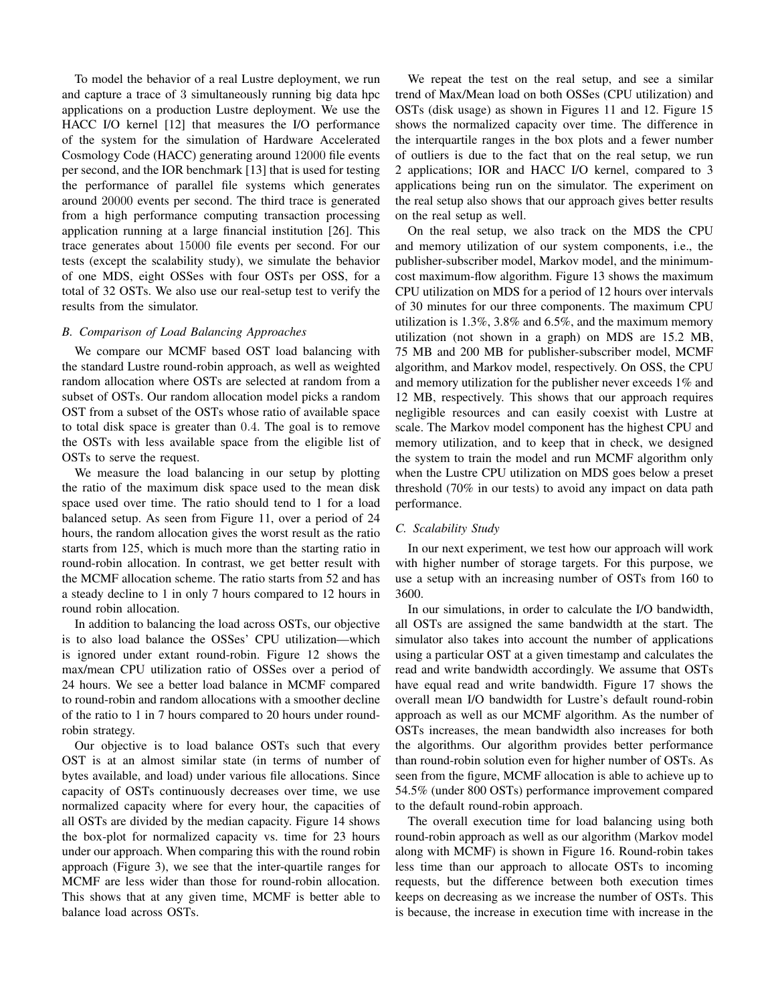To model the behavior of a real Lustre deployment, we run and capture a trace of 3 simultaneously running big data hpc applications on a production Lustre deployment. We use the HACC I/O kernel [12] that measures the I/O performance of the system for the simulation of Hardware Accelerated Cosmology Code (HACC) generating around 12000 file events per second, and the IOR benchmark [13] that is used for testing the performance of parallel file systems which generates around 20000 events per second. The third trace is generated from a high performance computing transaction processing application running at a large financial institution [26]. This trace generates about 15000 file events per second. For our tests (except the scalability study), we simulate the behavior of one MDS, eight OSSes with four OSTs per OSS, for a total of 32 OSTs. We also use our real-setup test to verify the results from the simulator.

## *B. Comparison of Load Balancing Approaches*

We compare our MCMF based OST load balancing with the standard Lustre round-robin approach, as well as weighted random allocation where OSTs are selected at random from a subset of OSTs. Our random allocation model picks a random OST from a subset of the OSTs whose ratio of available space to total disk space is greater than 0.4. The goal is to remove the OSTs with less available space from the eligible list of OSTs to serve the request.

We measure the load balancing in our setup by plotting the ratio of the maximum disk space used to the mean disk space used over time. The ratio should tend to 1 for a load balanced setup. As seen from Figure 11, over a period of 24 hours, the random allocation gives the worst result as the ratio starts from 125, which is much more than the starting ratio in round-robin allocation. In contrast, we get better result with the MCMF allocation scheme. The ratio starts from 52 and has a steady decline to 1 in only 7 hours compared to 12 hours in round robin allocation.

In addition to balancing the load across OSTs, our objective is to also load balance the OSSes' CPU utilization—which is ignored under extant round-robin. Figure 12 shows the max/mean CPU utilization ratio of OSSes over a period of 24 hours. We see a better load balance in MCMF compared to round-robin and random allocations with a smoother decline of the ratio to 1 in 7 hours compared to 20 hours under roundrobin strategy.

Our objective is to load balance OSTs such that every OST is at an almost similar state (in terms of number of bytes available, and load) under various file allocations. Since capacity of OSTs continuously decreases over time, we use normalized capacity where for every hour, the capacities of all OSTs are divided by the median capacity. Figure 14 shows the box-plot for normalized capacity vs. time for 23 hours under our approach. When comparing this with the round robin approach (Figure 3), we see that the inter-quartile ranges for MCMF are less wider than those for round-robin allocation. This shows that at any given time, MCMF is better able to balance load across OSTs.

We repeat the test on the real setup, and see a similar trend of Max/Mean load on both OSSes (CPU utilization) and OSTs (disk usage) as shown in Figures 11 and 12. Figure 15 shows the normalized capacity over time. The difference in the interquartile ranges in the box plots and a fewer number of outliers is due to the fact that on the real setup, we run 2 applications; IOR and HACC I/O kernel, compared to 3 applications being run on the simulator. The experiment on the real setup also shows that our approach gives better results on the real setup as well.

On the real setup, we also track on the MDS the CPU and memory utilization of our system components, i.e., the publisher-subscriber model, Markov model, and the minimumcost maximum-flow algorithm. Figure 13 shows the maximum CPU utilization on MDS for a period of 12 hours over intervals of 30 minutes for our three components. The maximum CPU utilization is 1.3%, 3.8% and 6.5%, and the maximum memory utilization (not shown in a graph) on MDS are 15.2 MB, 75 MB and 200 MB for publisher-subscriber model, MCMF algorithm, and Markov model, respectively. On OSS, the CPU and memory utilization for the publisher never exceeds 1% and 12 MB, respectively. This shows that our approach requires negligible resources and can easily coexist with Lustre at scale. The Markov model component has the highest CPU and memory utilization, and to keep that in check, we designed the system to train the model and run MCMF algorithm only when the Lustre CPU utilization on MDS goes below a preset threshold (70% in our tests) to avoid any impact on data path performance.

# *C. Scalability Study*

In our next experiment, we test how our approach will work with higher number of storage targets. For this purpose, we use a setup with an increasing number of OSTs from 160 to 3600.

In our simulations, in order to calculate the I/O bandwidth, all OSTs are assigned the same bandwidth at the start. The simulator also takes into account the number of applications using a particular OST at a given timestamp and calculates the read and write bandwidth accordingly. We assume that OSTs have equal read and write bandwidth. Figure 17 shows the overall mean I/O bandwidth for Lustre's default round-robin approach as well as our MCMF algorithm. As the number of OSTs increases, the mean bandwidth also increases for both the algorithms. Our algorithm provides better performance than round-robin solution even for higher number of OSTs. As seen from the figure, MCMF allocation is able to achieve up to 54.5% (under 800 OSTs) performance improvement compared to the default round-robin approach.

The overall execution time for load balancing using both round-robin approach as well as our algorithm (Markov model along with MCMF) is shown in Figure 16. Round-robin takes less time than our approach to allocate OSTs to incoming requests, but the difference between both execution times keeps on decreasing as we increase the number of OSTs. This is because, the increase in execution time with increase in the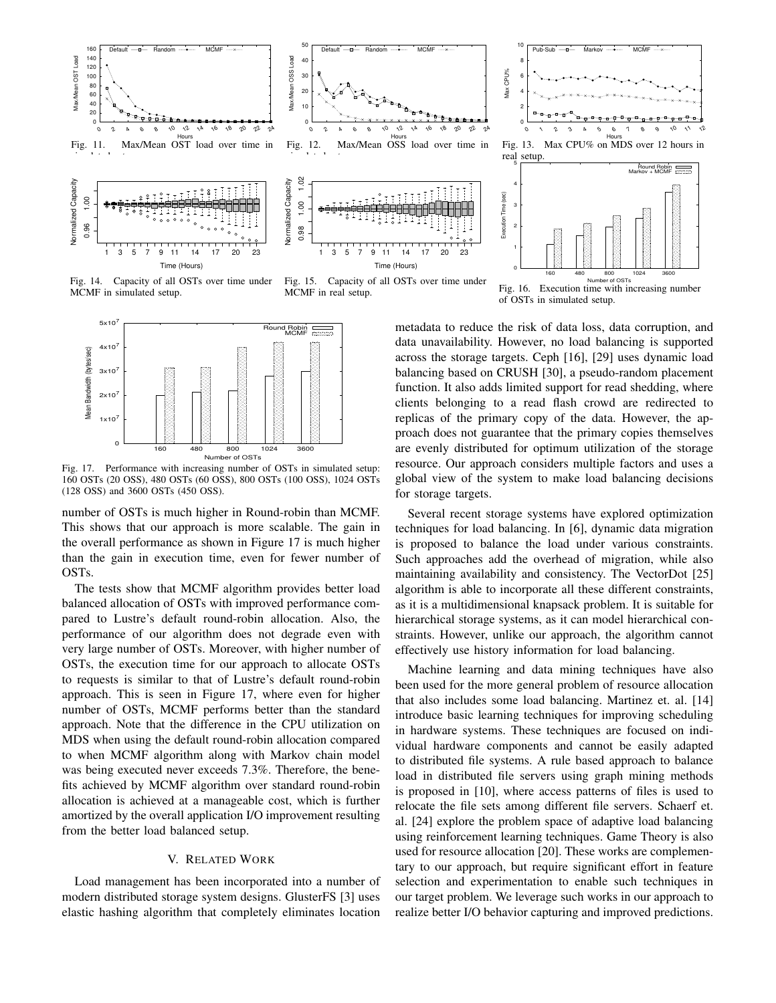

Fig. 14. Capacity of all OSTs over time under MCMF in simulated setup.

Fig. 15. Capacity of all OSTs over time under MCMF in real setup.

Number of OSTs<br>Fig. 16. Execution time with increasing number of OSTs in simulated setup.



Fig. 17. Performance with increasing number of OSTs in simulated setup: 160 OSTs (20 OSS), 480 OSTs (60 OSS), 800 OSTs (100 OSS), 1024 OSTs (128 OSS) and 3600 OSTs (450 OSS).

number of OSTs is much higher in Round-robin than MCMF. This shows that our approach is more scalable. The gain in the overall performance as shown in Figure 17 is much higher than the gain in execution time, even for fewer number of OSTs.

The tests show that MCMF algorithm provides better load balanced allocation of OSTs with improved performance compared to Lustre's default round-robin allocation. Also, the performance of our algorithm does not degrade even with very large number of OSTs. Moreover, with higher number of OSTs, the execution time for our approach to allocate OSTs to requests is similar to that of Lustre's default round-robin approach. This is seen in Figure 17, where even for higher number of OSTs, MCMF performs better than the standard approach. Note that the difference in the CPU utilization on MDS when using the default round-robin allocation compared to when MCMF algorithm along with Markov chain model was being executed never exceeds 7.3%. Therefore, the benefits achieved by MCMF algorithm over standard round-robin allocation is achieved at a manageable cost, which is further amortized by the overall application I/O improvement resulting from the better load balanced setup.

## V. RELATED WORK

Load management has been incorporated into a number of modern distributed storage system designs. GlusterFS [3] uses elastic hashing algorithm that completely eliminates location metadata to reduce the risk of data loss, data corruption, and data unavailability. However, no load balancing is supported across the storage targets. Ceph [16], [29] uses dynamic load balancing based on CRUSH [30], a pseudo-random placement function. It also adds limited support for read shedding, where clients belonging to a read flash crowd are redirected to replicas of the primary copy of the data. However, the approach does not guarantee that the primary copies themselves are evenly distributed for optimum utilization of the storage resource. Our approach considers multiple factors and uses a global view of the system to make load balancing decisions for storage targets.

Several recent storage systems have explored optimization techniques for load balancing. In [6], dynamic data migration is proposed to balance the load under various constraints. Such approaches add the overhead of migration, while also maintaining availability and consistency. The VectorDot [25] algorithm is able to incorporate all these different constraints, as it is a multidimensional knapsack problem. It is suitable for hierarchical storage systems, as it can model hierarchical constraints. However, unlike our approach, the algorithm cannot effectively use history information for load balancing.

Machine learning and data mining techniques have also been used for the more general problem of resource allocation that also includes some load balancing. Martinez et. al. [14] introduce basic learning techniques for improving scheduling in hardware systems. These techniques are focused on individual hardware components and cannot be easily adapted to distributed file systems. A rule based approach to balance load in distributed file servers using graph mining methods is proposed in [10], where access patterns of files is used to relocate the file sets among different file servers. Schaerf et. al. [24] explore the problem space of adaptive load balancing using reinforcement learning techniques. Game Theory is also used for resource allocation [20]. These works are complementary to our approach, but require significant effort in feature selection and experimentation to enable such techniques in our target problem. We leverage such works in our approach to realize better I/O behavior capturing and improved predictions.